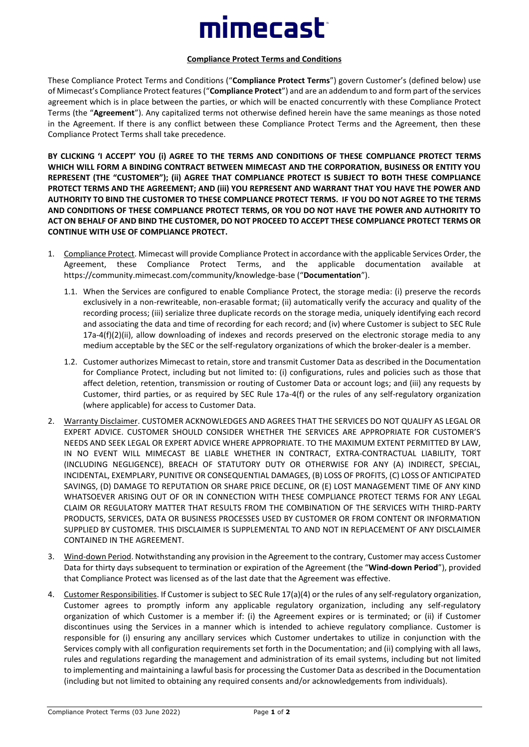## mimecast<sup>®</sup>

## **Compliance Protect Terms and Conditions**

These Compliance Protect Terms and Conditions ("**Compliance Protect Terms**") govern Customer's (defined below) use of Mimecast's Compliance Protect features ("**Compliance Protect**") and are an addendum to and form part of the services agreement which is in place between the parties, or which will be enacted concurrently with these Compliance Protect Terms (the "**Agreement**"). Any capitalized terms not otherwise defined herein have the same meanings as those noted in the Agreement. If there is any conflict between these Compliance Protect Terms and the Agreement, then these Compliance Protect Terms shall take precedence.

**BY CLICKING 'I ACCEPT' YOU (i) AGREE TO THE TERMS AND CONDITIONS OF THESE COMPLIANCE PROTECT TERMS WHICH WILL FORM A BINDING CONTRACT BETWEEN MIMECAST AND THE CORPORATION, BUSINESS OR ENTITY YOU REPRESENT (THE "CUSTOMER"); (ii) AGREE THAT COMPLIANCE PROTECT IS SUBJECT TO BOTH THESE COMPLIANCE PROTECT TERMS AND THE AGREEMENT; AND (iii) YOU REPRESENT AND WARRANT THAT YOU HAVE THE POWER AND AUTHORITY TO BIND THE CUSTOMER TO THESE COMPLIANCE PROTECT TERMS. IF YOU DO NOT AGREE TO THE TERMS AND CONDITIONS OF THESE COMPLIANCE PROTECT TERMS, OR YOU DO NOT HAVE THE POWER AND AUTHORITY TO ACT ON BEHALF OF AND BIND THE CUSTOMER, DO NOT PROCEED TO ACCEPT THESE COMPLIANCE PROTECT TERMS OR CONTINUE WITH USE OF COMPLIANCE PROTECT.**

- 1. Compliance Protect. Mimecast will provide Compliance Protect in accordance with the applicable Services Order, the Agreement, these Compliance Protect Terms, and the applicable documentation available at https://community.mimecast.com/community/knowledge-base ("**Documentation**").
	- 1.1. When the Services are configured to enable Compliance Protect, the storage media: (i) preserve the records exclusively in a non-rewriteable, non-erasable format; (ii) automatically verify the accuracy and quality of the recording process; (iii) serialize three duplicate records on the storage media, uniquely identifying each record and associating the data and time of recording for each record; and (iv) where Customer is subject to SEC Rule 17a-4(f)(2)(ii), allow downloading of indexes and records preserved on the electronic storage media to any medium acceptable by the SEC or the self-regulatory organizations of which the broker-dealer is a member.
	- 1.2. Customer authorizes Mimecast to retain, store and transmit Customer Data as described in the Documentation for Compliance Protect, including but not limited to: (i) configurations, rules and policies such as those that affect deletion, retention, transmission or routing of Customer Data or account logs; and (iii) any requests by Customer, third parties, or as required by SEC Rule 17a-4(f) or the rules of any self-regulatory organization (where applicable) for access to Customer Data.
- 2. Warranty Disclaimer. CUSTOMER ACKNOWLEDGES AND AGREES THAT THE SERVICES DO NOT QUALIFY AS LEGAL OR EXPERT ADVICE. CUSTOMER SHOULD CONSIDER WHETHER THE SERVICES ARE APPROPRIATE FOR CUSTOMER'S NEEDS AND SEEK LEGAL OR EXPERT ADVICE WHERE APPROPRIATE. TO THE MAXIMUM EXTENT PERMITTED BY LAW, IN NO EVENT WILL MIMECAST BE LIABLE WHETHER IN CONTRACT, EXTRA-CONTRACTUAL LIABILITY, TORT (INCLUDING NEGLIGENCE), BREACH OF STATUTORY DUTY OR OTHERWISE FOR ANY (A) INDIRECT, SPECIAL, INCIDENTAL, EXEMPLARY, PUNITIVE OR CONSEQUENTIAL DAMAGES, (B) LOSS OF PROFITS, (C) LOSS OF ANTICIPATED SAVINGS, (D) DAMAGE TO REPUTATION OR SHARE PRICE DECLINE, OR (E) LOST MANAGEMENT TIME OF ANY KIND WHATSOEVER ARISING OUT OF OR IN CONNECTION WITH THESE COMPLIANCE PROTECT TERMS FOR ANY LEGAL CLAIM OR REGULATORY MATTER THAT RESULTS FROM THE COMBINATION OF THE SERVICES WITH THIRD-PARTY PRODUCTS, SERVICES, DATA OR BUSINESS PROCESSES USED BY CUSTOMER OR FROM CONTENT OR INFORMATION SUPPLIED BY CUSTOMER. THIS DISCLAIMER IS SUPPLEMENTAL TO AND NOT IN REPLACEMENT OF ANY DISCLAIMER CONTAINED IN THE AGREEMENT.
- 3. Wind-down Period. Notwithstanding any provision in the Agreement to the contrary, Customer may access Customer Data for thirty days subsequent to termination or expiration of the Agreement (the "**Wind-down Period**"), provided that Compliance Protect was licensed as of the last date that the Agreement was effective.
- 4. Customer Responsibilities. If Customer is subject to SEC Rule 17(a)(4) or the rules of any self-regulatory organization, Customer agrees to promptly inform any applicable regulatory organization, including any self-regulatory organization of which Customer is a member if: (i) the Agreement expires or is terminated; or (ii) if Customer discontinues using the Services in a manner which is intended to achieve regulatory compliance. Customer is responsible for (i) ensuring any ancillary services which Customer undertakes to utilize in conjunction with the Services comply with all configuration requirements set forth in the Documentation; and (ii) complying with all laws, rules and regulations regarding the management and administration of its email systems, including but not limited to implementing and maintaining a lawful basis for processing the Customer Data as described in the Documentation (including but not limited to obtaining any required consents and/or acknowledgements from individuals).